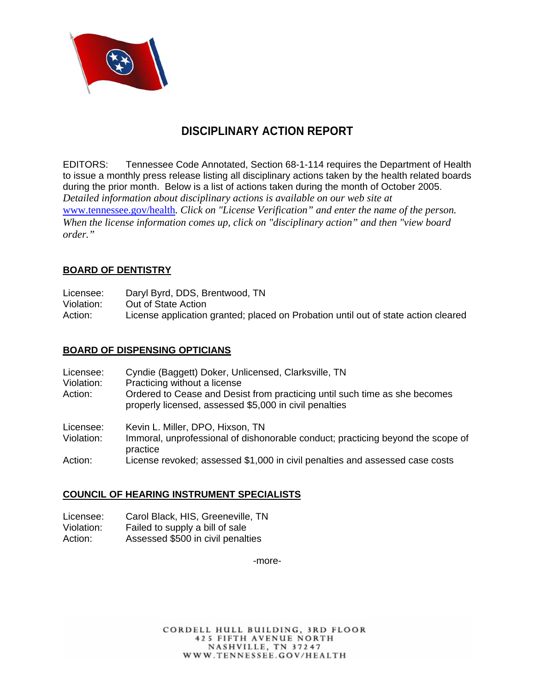

# **DISCIPLINARY ACTION REPORT**

EDITORS: Tennessee Code Annotated, Section 68-1-114 requires the Department of Health to issue a monthly press release listing all disciplinary actions taken by the health related boards during the prior month. Below is a list of actions taken during the month of October 2005. *Detailed information about disciplinary actions is available on our web site at*  www.tennessee.gov/health*. Click on "License Verification" and enter the name of the person. When the license information comes up, click on "disciplinary action" and then "view board order."* 

## **BOARD OF DENTISTRY**

| Licensee:  | Daryl Byrd, DDS, Brentwood, TN                                                     |
|------------|------------------------------------------------------------------------------------|
| Violation: | Out of State Action                                                                |
| Action:    | License application granted; placed on Probation until out of state action cleared |

#### **BOARD OF DISPENSING OPTICIANS**

| Licensee:<br>Violation:<br>Action: | Cyndie (Baggett) Doker, Unlicensed, Clarksville, TN<br>Practicing without a license<br>Ordered to Cease and Desist from practicing until such time as she becomes<br>properly licensed, assessed \$5,000 in civil penalties |
|------------------------------------|-----------------------------------------------------------------------------------------------------------------------------------------------------------------------------------------------------------------------------|
| Licensee:<br>Violation:            | Kevin L. Miller, DPO, Hixson, TN<br>Immoral, unprofessional of dishonorable conduct; practicing beyond the scope of<br>practice                                                                                             |
| Action:                            | License revoked; assessed \$1,000 in civil penalties and assessed case costs                                                                                                                                                |

#### **COUNCIL OF HEARING INSTRUMENT SPECIALISTS**

- Licensee: Carol Black, HIS, Greeneville, TN
- Violation: Failed to supply a bill of sale<br>Action: Assessed \$500 in civil penalt
- Assessed \$500 in civil penalties

-more-

CORDELL HULL BUILDING, 3RD FLOOR **425 FIFTH AVENUE NORTH** NASHVILLE, TN 37247 WWW.TENNESSEE.GOV/HEALTH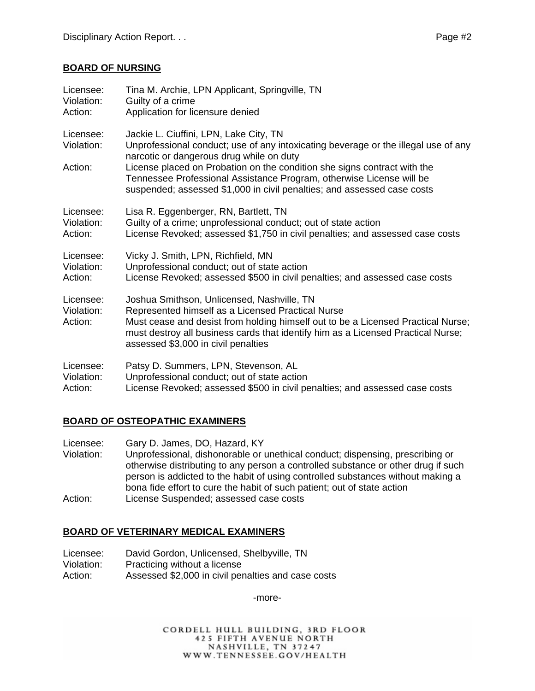#### **BOARD OF NURSING**

| Licensee:                          | Tina M. Archie, LPN Applicant, Springville, TN                                                                                                                                                                                                                                                                 |
|------------------------------------|----------------------------------------------------------------------------------------------------------------------------------------------------------------------------------------------------------------------------------------------------------------------------------------------------------------|
| Violation:                         | Guilty of a crime                                                                                                                                                                                                                                                                                              |
| Action:                            | Application for licensure denied                                                                                                                                                                                                                                                                               |
| Licensee:<br>Violation:<br>Action: | Jackie L. Ciuffini, LPN, Lake City, TN<br>Unprofessional conduct; use of any intoxicating beverage or the illegal use of any<br>narcotic or dangerous drug while on duty<br>License placed on Probation on the condition she signs contract with the                                                           |
|                                    | Tennessee Professional Assistance Program, otherwise License will be<br>suspended; assessed \$1,000 in civil penalties; and assessed case costs                                                                                                                                                                |
| Licensee:                          | Lisa R. Eggenberger, RN, Bartlett, TN                                                                                                                                                                                                                                                                          |
| Violation:                         | Guilty of a crime; unprofessional conduct; out of state action                                                                                                                                                                                                                                                 |
| Action:                            | License Revoked; assessed \$1,750 in civil penalties; and assessed case costs                                                                                                                                                                                                                                  |
| Licensee:                          | Vicky J. Smith, LPN, Richfield, MN                                                                                                                                                                                                                                                                             |
| Violation:                         | Unprofessional conduct; out of state action                                                                                                                                                                                                                                                                    |
| Action:                            | License Revoked; assessed \$500 in civil penalties; and assessed case costs                                                                                                                                                                                                                                    |
| Licensee:<br>Violation:<br>Action: | Joshua Smithson, Unlicensed, Nashville, TN<br>Represented himself as a Licensed Practical Nurse<br>Must cease and desist from holding himself out to be a Licensed Practical Nurse;<br>must destroy all business cards that identify him as a Licensed Practical Nurse;<br>assessed \$3,000 in civil penalties |
| Licensee:                          | Patsy D. Summers, LPN, Stevenson, AL                                                                                                                                                                                                                                                                           |
| Violation:                         | Unprofessional conduct; out of state action                                                                                                                                                                                                                                                                    |
| Action:                            | License Revoked; assessed \$500 in civil penalties; and assessed case costs                                                                                                                                                                                                                                    |

## **BOARD OF OSTEOPATHIC EXAMINERS**

Licensee: Gary D. James, DO, Hazard, KY

- Violation: Unprofessional, dishonorable or unethical conduct; dispensing, prescribing or otherwise distributing to any person a controlled substance or other drug if such person is addicted to the habit of using controlled substances without making a bona fide effort to cure the habit of such patient; out of state action
- Action: License Suspended; assessed case costs

## **BOARD OF VETERINARY MEDICAL EXAMINERS**

- Licensee: David Gordon, Unlicensed, Shelbyville, TN
- Violation: Practicing without a license
- Action: Assessed \$2,000 in civil penalties and case costs

-more-

CORDELL HULL BUILDING, 3RD FLOOR **425 FIFTH AVENUE NORTH** NASHVILLE, TN 37247 WWW.TENNESSEE.GOV/HEALTH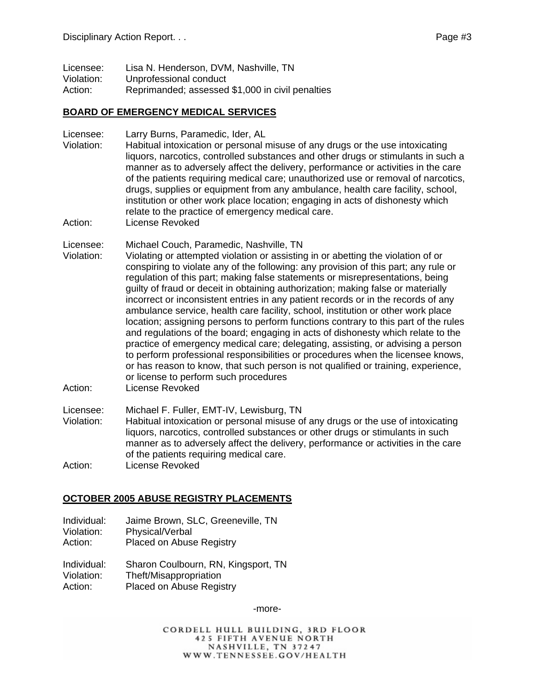| Licensee:  | Lisa N. Henderson, DVM, Nashville, TN            |
|------------|--------------------------------------------------|
| Violation: | Unprofessional conduct                           |
| Action:    | Reprimanded; assessed \$1,000 in civil penalties |

#### **BOARD OF EMERGENCY MEDICAL SERVICES**

Licensee: Larry Burns, Paramedic, Ider, AL

- Violation: Habitual intoxication or personal misuse of any drugs or the use intoxicating liquors, narcotics, controlled substances and other drugs or stimulants in such a manner as to adversely affect the delivery, performance or activities in the care of the patients requiring medical care; unauthorized use or removal of narcotics, drugs, supplies or equipment from any ambulance, health care facility, school, institution or other work place location; engaging in acts of dishonesty which relate to the practice of emergency medical care.
- Action: License Revoked
- Licensee: Michael Couch, Paramedic, Nashville, TN
- Violation: Violating or attempted violation or assisting in or abetting the violation of or conspiring to violate any of the following: any provision of this part; any rule or regulation of this part; making false statements or misrepresentations, being guilty of fraud or deceit in obtaining authorization; making false or materially incorrect or inconsistent entries in any patient records or in the records of any ambulance service, health care facility, school, institution or other work place location; assigning persons to perform functions contrary to this part of the rules and regulations of the board; engaging in acts of dishonesty which relate to the practice of emergency medical care; delegating, assisting, or advising a person to perform professional responsibilities or procedures when the licensee knows, or has reason to know, that such person is not qualified or training, experience, or license to perform such procedures
- Action: License Revoked

Licensee: Michael F. Fuller, EMT-IV, Lewisburg, TN

Violation: Habitual intoxication or personal misuse of any drugs or the use of intoxicating liquors, narcotics, controlled substances or other drugs or stimulants in such manner as to adversely affect the delivery, performance or activities in the care of the patients requiring medical care.

Action: License Revoked

#### **OCTOBER 2005 ABUSE REGISTRY PLACEMENTS**

- Individual: Jaime Brown, SLC, Greeneville, TN Violation: Physical/Verbal
- Action: Placed on Abuse Registry

Individual: Sharon Coulbourn, RN, Kingsport, TN Violation: Theft/Misappropriation Action: Placed on Abuse Registry

-more-

CORDELL HULL BUILDING, 3RD FLOOR **425 FIFTH AVENUE NORTH** NASHVILLE, TN 37247 WWW.TENNESSEE.GOV/HEALTH